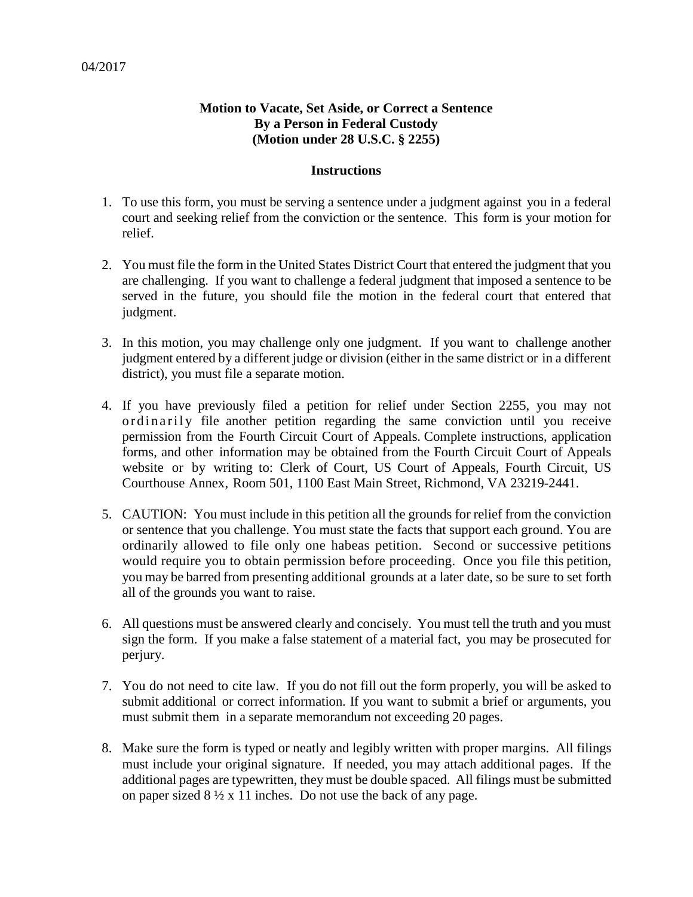## **Motion to Vacate, Set Aside, or Correct a Sentence By a Person in Federal Custody (Motion under 28 U.S.C. § 2255)**

## **Instructions**

- 1. To use this form, you must be serving a sentence under a judgment against you in a federal court and seeking relief from the conviction or the sentence. This form is your motion for relief.
- 2. You must file the form in the United States District Court that entered the judgment that you are challenging. If you want to challenge a federal judgment that imposed a sentence to be served in the future, you should file the motion in the federal court that entered that judgment.
- 3. In this motion, you may challenge only one judgment. If you want to challenge another judgment entered by a different judge or division (either in the same district or in a different district), you must file a separate motion.
- 4. If you have previously filed a petition for relief under Section 2255, you may not ordinarily file another petition regarding the same conviction until you receive permission from the Fourth Circuit Court of Appeals. Complete instructions, application forms, and other information may be obtained from the Fourth Circuit Court of Appeals website or by writing to: Clerk of Court, US Court of Appeals, Fourth Circuit, US Courthouse Annex, Room 501, 1100 East Main Street, Richmond, VA 23219-2441.
- 5. CAUTION: You must include in this petition all the grounds for relief from the conviction or sentence that you challenge. You must state the facts that support each ground. You are ordinarily allowed to file only one habeas petition. Second or successive petitions would require you to obtain permission before proceeding. Once you file this petition, you may be barred from presenting additional grounds at a later date, so be sure to set forth all of the grounds you want to raise.
- 6. All questions must be answered clearly and concisely. You must tell the truth and you must sign the form. If you make a false statement of a material fact, you may be prosecuted for perjury.
- 7. You do not need to cite law. If you do not fill out the form properly, you will be asked to submit additional or correct information. If you want to submit a brief or arguments, you must submit them in a separate memorandum not exceeding 20 pages.
- 8. Make sure the form is typed or neatly and legibly written with proper margins. All filings must include your original signature. If needed, you may attach additional pages. If the additional pages are typewritten, they must be double spaced. All filings must be submitted on paper sized  $8\frac{1}{2} \times 11$  inches. Do not use the back of any page.